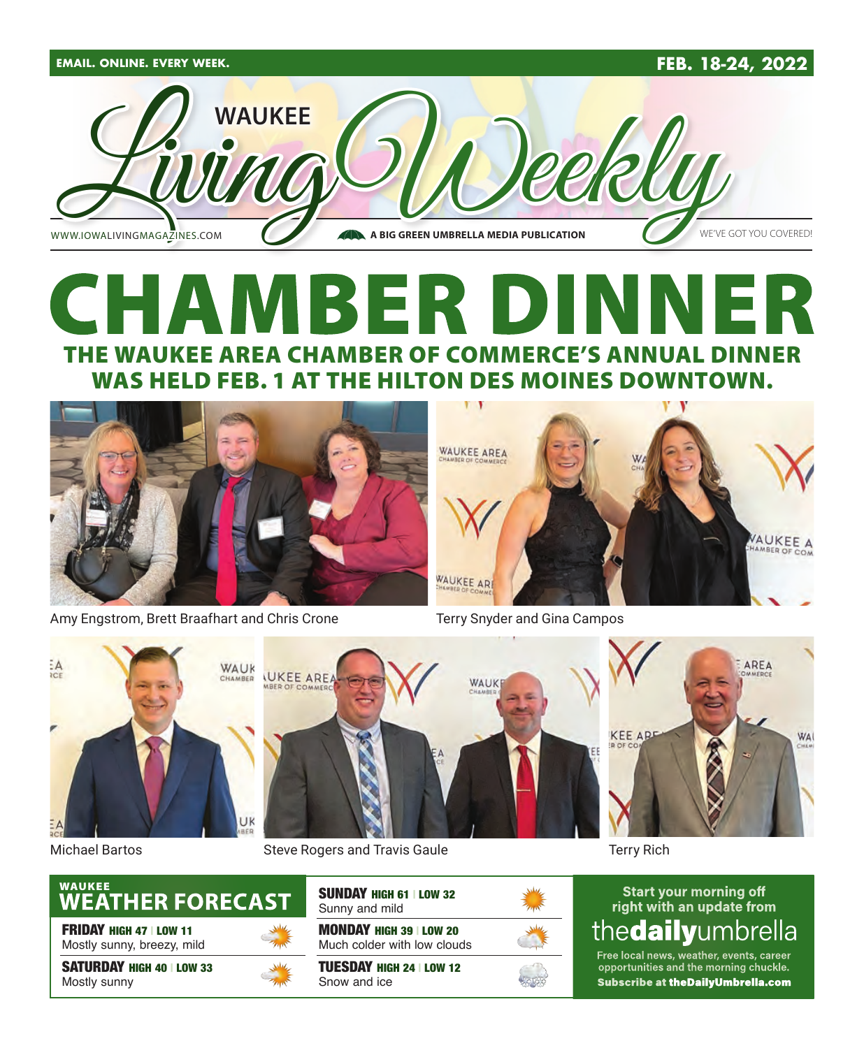

### CHAMBER DINI R THE WAUKEE AREA CHAMBER OF COMMERCE'S ANNUAL DINNER WAS HELD FEB. 1 AT THE HILTON DES MOINES DOWNTOWN.



Amy Engstrom, Brett Braafhart and Chris Crone



Terry Snyder and Gina Campos



Michael Bartos Steve Rogers and Travis Gaule



FRIDAY HIGH 47 | LOW 11 Mostly sunny, breezy, mild

SATURDAY HIGH 40 | LOW 33 Mostly sunny



SUNDAY HIGH 61 | LOW 32

MONDAY HIGH 39 | LOW 20 Sunny and mild

Much colder with low clouds

TUESDAY HIGH 24 | LOW 12 Snow and ice



Terry Rich

#### **Start your morning off** right with an update from thedailyumbrella

Free local news, weather, events, career opportunities and the morning chuckle. Subscribe at theDailyUmbrella.com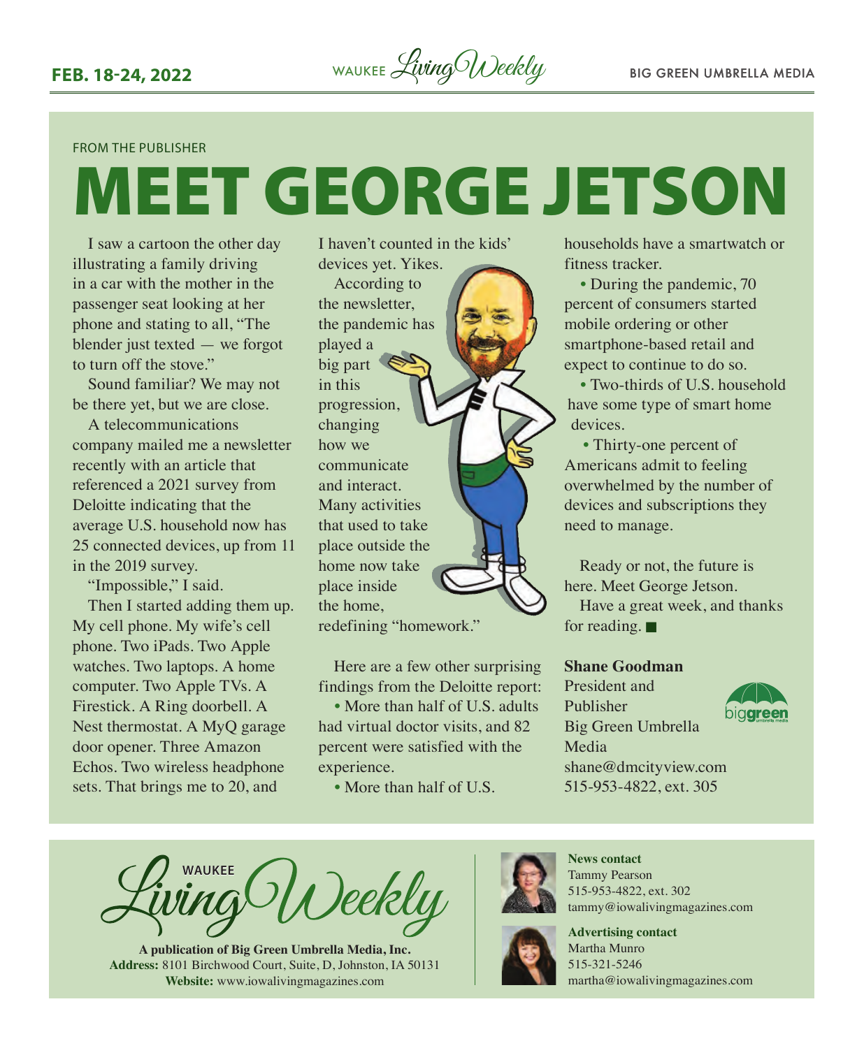#### FROM THE PUBLISHER

# MEET GEORGE JETSON

I saw a cartoon the other day illustrating a family driving in a car with the mother in the passenger seat looking at her phone and stating to all, "The blender just texted — we forgot to turn off the stove."

Sound familiar? We may not be there yet, but we are close.

A telecommunications company mailed me a newsletter recently with an article that referenced a 2021 survey from Deloitte indicating that the average U.S. household now has 25 connected devices, up from 11 in the 2019 survey.

"Impossible," I said. Then I started adding them up. My cell phone. My wife's cell phone. Two iPads. Two Apple watches. Two laptops. A home computer. Two Apple TVs. A Firestick. A Ring doorbell. A Nest thermostat. A MyQ garage door opener. Three Amazon Echos. Two wireless headphone sets. That brings me to 20, and

I haven't counted in the kids' devices yet. Yikes.

According to the newsletter, the pandemic has played a big part in this progression, changing how we communicate and interact. Many activities that used to take place outside the home now take place inside the home, redefining "homework."

Here are a few other surprising findings from the Deloitte report:

• More than half of U.S. adults had virtual doctor visits, and 82 percent were satisfied with the experience.

• More than half of U.S.

households have a smartwatch or fitness tracker.

• During the pandemic, 70 percent of consumers started mobile ordering or other smartphone-based retail and expect to continue to do so.

• Two-thirds of U.S. household have some type of smart home devices.

• Thirty-one percent of Americans admit to feeling overwhelmed by the number of devices and subscriptions they need to manage.

Ready or not, the future is here. Meet George Jetson. Have a great week, and thanks

for reading.  $\blacksquare$ 

#### **Shane Goodman**

President and Publisher Big Green Umbrella Media shane@dmcityview.com 515-953-4822, ext. 305



**WAUKEE** )eekly

**A publication of Big Green Umbrella Media, Inc. Address:** 8101 Birchwood Court, Suite, D, Johnston, IA 50131 **Website:** [www.iowalivingmagazines.com](http://www.iowalivingmagazines.com)



**News contact** Tammy Pearson 515-953-4822, ext. 302 [tammy@iowalivingmagazines.com](mailto:tammy@iowalivingmagazines.com)

**Advertising contact** Martha Munro 515-321-5246 [martha@iowalivingmagazines.com](mailto:martha@iowalivingmagazines.com)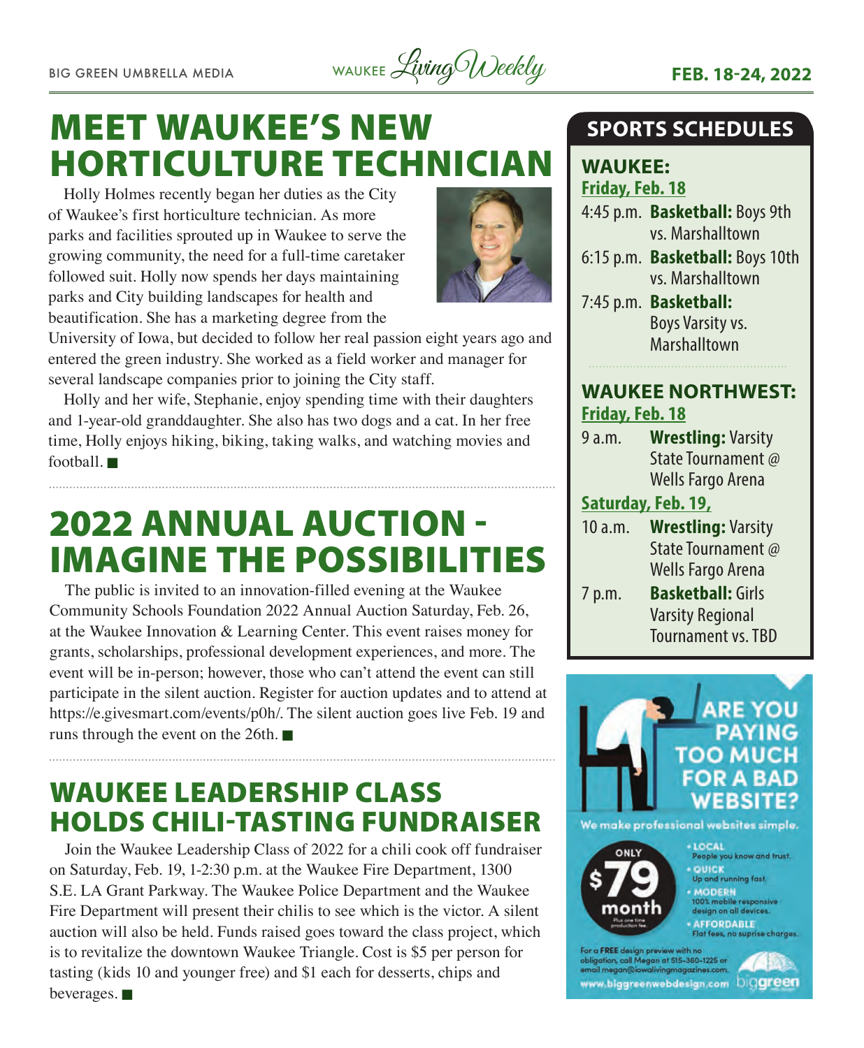BIG GREEN UMBRELLA MEDIA WAUKEE Living Weekly **FEB. 18-24, 2022** 

### MEET WAUKEE'S NEW HORTICULTURE TECHNICIAN

Holly Holmes recently began her duties as the City of Waukee's first horticulture technician. As more parks and facilities sprouted up in Waukee to serve the growing community, the need for a full-time caretaker followed suit. Holly now spends her days maintaining parks and City building landscapes for health and beautification. She has a marketing degree from the



University of Iowa, but decided to follow her real passion eight years ago and entered the green industry. She worked as a field worker and manager for several landscape companies prior to joining the City staff.

Holly and her wife, Stephanie, enjoy spending time with their daughters and 1-year-old granddaughter. She also has two dogs and a cat. In her free time, Holly enjoys hiking, biking, taking walks, and watching movies and football.  $\blacksquare$ 

### 2022 ANNUAL AUCTION - IMAGINE THE POSSIBILITIES

The public is invited to an innovation-filled evening at the Waukee Community Schools Foundation 2022 Annual Auction Saturday, Feb. 26, at the Waukee Innovation & Learning Center. This event raises money for grants, scholarships, professional development experiences, and more. The event will be in-person; however, those who can't attend the event can still participate in the silent auction. Register for auction updates and to attend at [https://e.givesmart.com/events/p0h/.](https://e.givesmart.com/events/p0h/) The silent auction goes live Feb. 19 and runs through the event on the 26th.  $\blacksquare$ 

### WAUKEE LEADERSHIP CLASS HOLDS CHILI-TASTING FUNDRAISER

Join the Waukee Leadership Class of 2022 for a chili cook off fundraiser on Saturday, Feb. 19, 1-2:30 p.m. at the Waukee Fire Department, 1300 S.E. LA Grant Parkway. The Waukee Police Department and the Waukee Fire Department will present their chilis to see which is the victor. A silent auction will also be held. Funds raised goes toward the class project, which is to revitalize the downtown Waukee Triangle. Cost is \$5 per person for tasting (kids 10 and younger free) and \$1 each for desserts, chips and beverages.  $\blacksquare$ 

#### **SPORTS SCHEDULES**

**WAUKEE: Friday, Feb. 18**

4:45 p.m. **Basketball:** Boys 9th vs. Marshalltown

- 6:15 p.m. **Basketball:** Boys 10th vs. Marshalltown
- 7:45 p.m. **Basketball:** Boys Varsity vs. Marshalltown

#### **WAUKEE NORTHWEST: Friday, Feb. 18**

9 a.m. **Wrestling:** Varsity State Tournament @ Wells Fargo Arena

#### **Saturday, Feb. 19,**

- 10 a.m. **Wrestling:** Varsity State Tournament @ Wells Fargo Arena
- 7 p.m. **Basketball:** Girls Varsity Regional Tournament vs. TBD





 $-10C<sub>41</sub>$ People you know and trust. - QUICK and running fast.

- MODERN

00% mobile responsive design on all devices

**AFFORDABLE**<br>Flat fees, no supri

r a FREE design preview with no obligation, call Megan at 515–360–1225 or<br>email megan@iowalivingmagazines.com www.biggreenwebdesign.com Diggreen

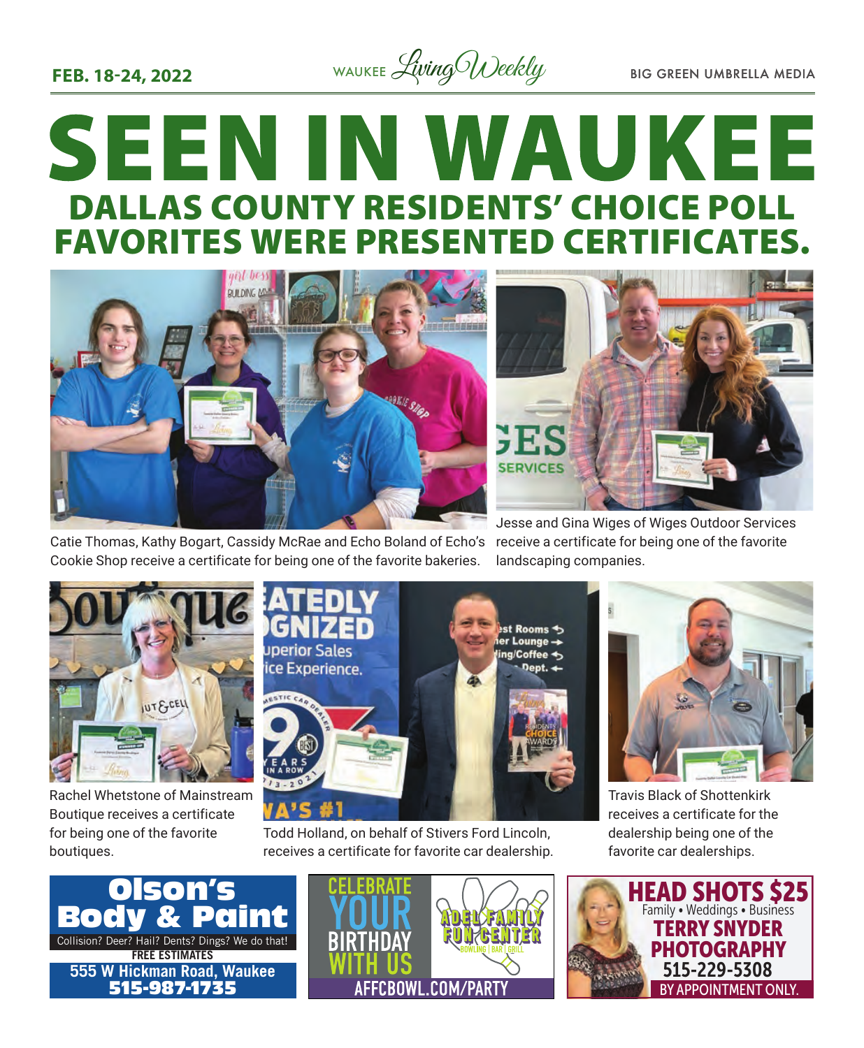

## **SEEN IN WAUKEE** DALLAS COUNTY RESIDENTS' CHOICE POLL FAVORITES WERE PRESENTED CERTIFICATES.



Catie Thomas, Kathy Bogart, Cassidy McRae and Echo Boland of Echo's Cookie Shop receive a certificate for being one of the favorite bakeries.

Jesse and Gina Wiges of Wiges Outdoor Services receive a certificate for being one of the favorite landscaping companies.



Rachel Whetstone of Mainstream Boutique receives a certificate for being one of the favorite boutiques.



Todd Holland, on behalf of Stivers Ford Lincoln, receives a certificate for favorite car dealership.



Travis Black of Shottenkirk receives a certificate for the dealership being one of the favorite car dealerships.





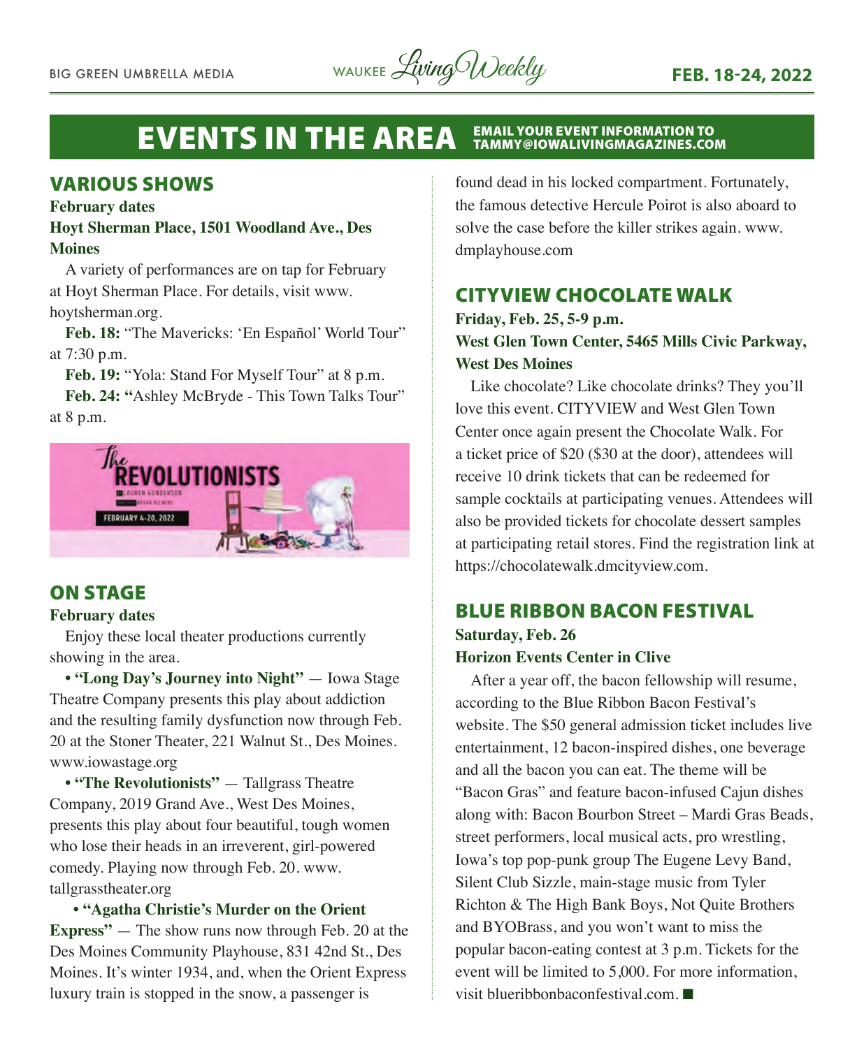BIG GREEN UMBRELLA MEDIA WAUKEE Living Weekly **FEB. 18-24, 2022** 

#### **EVENTS IN THE AREA** EMAIL YOUR EVENT INFORMATION TO<br>TAMMY@IOWALIVINGMAGAZINES.COM

#### VARIOUS SHOWS

#### **February dates**

#### **Hoyt Sherman Place, 1501 Woodland Ave., Des Moines**

A variety of performances are on tap for February at Hoyt Sherman Place. For details, visit www. hoytsherman.org.

**Feb. 18:** "The Mavericks: 'En Español' World Tour" at 7:30 p.m.

**Feb. 19:** "Yola: Stand For Myself Tour" at 8 p.m.

**Feb. 24: "**Ashley McBryde - This Town Talks Tour" at 8 p.m.



#### ON STAGE

#### **February dates**

Enjoy these local theater productions currently showing in the area.

• "Long Day's Journey into Night" — Iowa Stage Theatre Company presents this play about addiction and the resulting family dysfunction now through Feb. 20 at the Stoner Theater, 221 Walnut St., Des Moines. www.iowastage.org

**• "The Revolutionists"** — Tallgrass Theatre Company, 2019 Grand Ave., West Des Moines, presents this play about four beautiful, tough women who lose their heads in an irreverent, girl-powered comedy. Playing now through Feb. 20. www. tallgrasstheater.org

#### **• "Agatha Christie's Murder on the Orient**

**Express"** — The show runs now through Feb. 20 at the Des Moines Community Playhouse, 831 42nd St., Des Moines. It's winter 1934, and, when the Orient Express luxury train is stopped in the snow, a passenger is

found dead in his locked compartment. Fortunately, the famous detective Hercule Poirot is also aboard to solve the case before the killer strikes again. www. dmplayhouse.com

#### CITYVIEW CHOCOLATE WALK

#### **Friday, Feb. 25, 5-9 p.m. West Glen Town Center, 5465 Mills Civic Parkway, West Des Moines**

Like chocolate? Like chocolate drinks? They you'll love this event. CITYVIEW and West Glen Town Center once again present the Chocolate Walk. For a ticket price of \$20 (\$30 at the door), attendees will receive 10 drink tickets that can be redeemed for sample cocktails at participating venues. Attendees will also be provided tickets for chocolate dessert samples at participating retail stores. Find the registration link at https://chocolatewalk.dmcityview.com.

#### BLUE RIBBON BACON FESTIVAL

#### **Saturday, Feb. 26 Horizon Events Center in Clive**

After a year off, the bacon fellowship will resume, according to the Blue Ribbon Bacon Festival's website. The \$50 general admission ticket includes live entertainment, 12 bacon-inspired dishes, one beverage and all the bacon you can eat. The theme will be "Bacon Gras" and feature bacon-infused Cajun dishes along with: Bacon Bourbon Street – Mardi Gras Beads, street performers, local musical acts, pro wrestling, Iowa's top pop-punk group The Eugene Levy Band, Silent Club Sizzle, main-stage music from Tyler Richton & The High Bank Boys, Not Quite Brothers and BYOBrass, and you won't want to miss the popular bacon-eating contest at 3 p.m. Tickets for the event will be limited to 5,000. For more information, visit blueribbonbaconfestival.com $\blacksquare$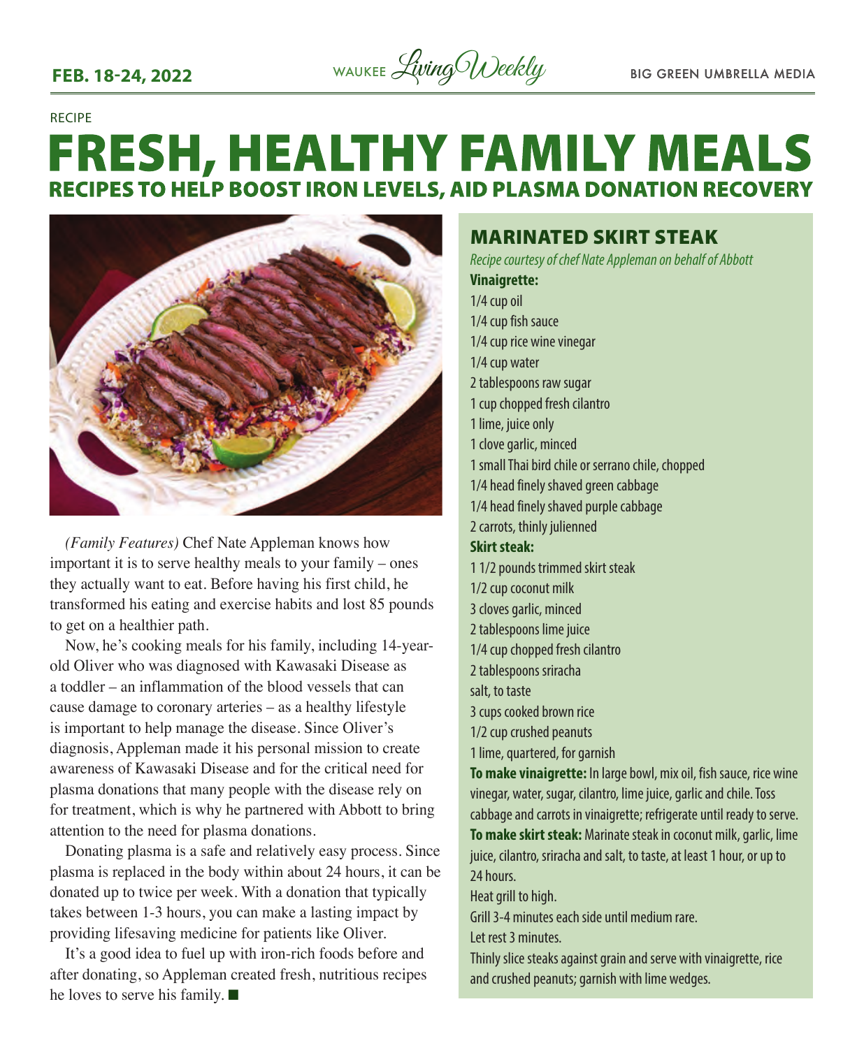

#### RECIPE

### **FRESH, HEALTHY FAMILY MEALS RECIPES TO HELP BOOST IRON LEVELS, AID PLASMA DONATION RECOVERY**



*(Family Features)* Chef Nate Appleman knows how important it is to serve healthy meals to your family – ones they actually want to eat. Before having his first child, he transformed his eating and exercise habits and lost 85 pounds to get on a healthier path.

Now, he's cooking meals for his family, including 14-yearold Oliver who was diagnosed with Kawasaki Disease as a toddler – an inflammation of the blood vessels that can cause damage to coronary arteries – as a healthy lifestyle is important to help manage the disease. Since Oliver's diagnosis, Appleman made it his personal mission to create awareness of Kawasaki Disease and for the critical need for plasma donations that many people with the disease rely on for treatment, which is why he partnered with Abbott to bring attention to the need for plasma donations.

Donating plasma is a safe and relatively easy process. Since plasma is replaced in the body within about 24 hours, it can be donated up to twice per week. With a donation that typically takes between 1-3 hours, you can make a lasting impact by providing lifesaving medicine for patients like Oliver.

It's a good idea to fuel up with iron-rich foods before and after donating, so Appleman created fresh, nutritious recipes he loves to serve his family.  $\blacksquare$ 

#### MARINATED SKIRT STEAK

*Recipe courtesy of chef Nate Appleman on behalf of Abbott*

**Vinaigrette:** 1/4 cup oil 1/4 cup fish sauce 1/4 cup rice wine vinegar 1/4 cup water 2 tablespoons raw sugar 1 cup chopped fresh cilantro 1 lime, juice only 1 clove garlic, minced 1 small Thai bird chile or serrano chile, chopped 1/4 head finely shaved green cabbage 1/4 head finely shaved purple cabbage 2 carrots, thinly julienned **Skirt steak:**  1 1/2 pounds trimmed skirt steak 1/2 cup coconut milk 3 cloves garlic, minced 2 tablespoons lime juice 1/4 cup chopped fresh cilantro 2 tablespoons sriracha salt, to taste 3 cups cooked brown rice 1/2 cup crushed peanuts 1 lime, quartered, for garnish **To make vinaigrette:** In large bowl, mix oil, fish sauce, rice wine vinegar, water, sugar, cilantro, lime juice, garlic and chile. Toss cabbage and carrots in vinaigrette; refrigerate until ready to serve. **To make skirt steak:** Marinate steak in coconut milk, garlic, lime juice, cilantro, sriracha and salt, to taste, at least 1 hour, or up to 24 hours. Heat grill to high. Grill 3-4 minutes each side until medium rare.

Let rest 3 minutes.

Thinly slice steaks against grain and serve with vinaigrette, rice and crushed peanuts; garnish with lime wedges.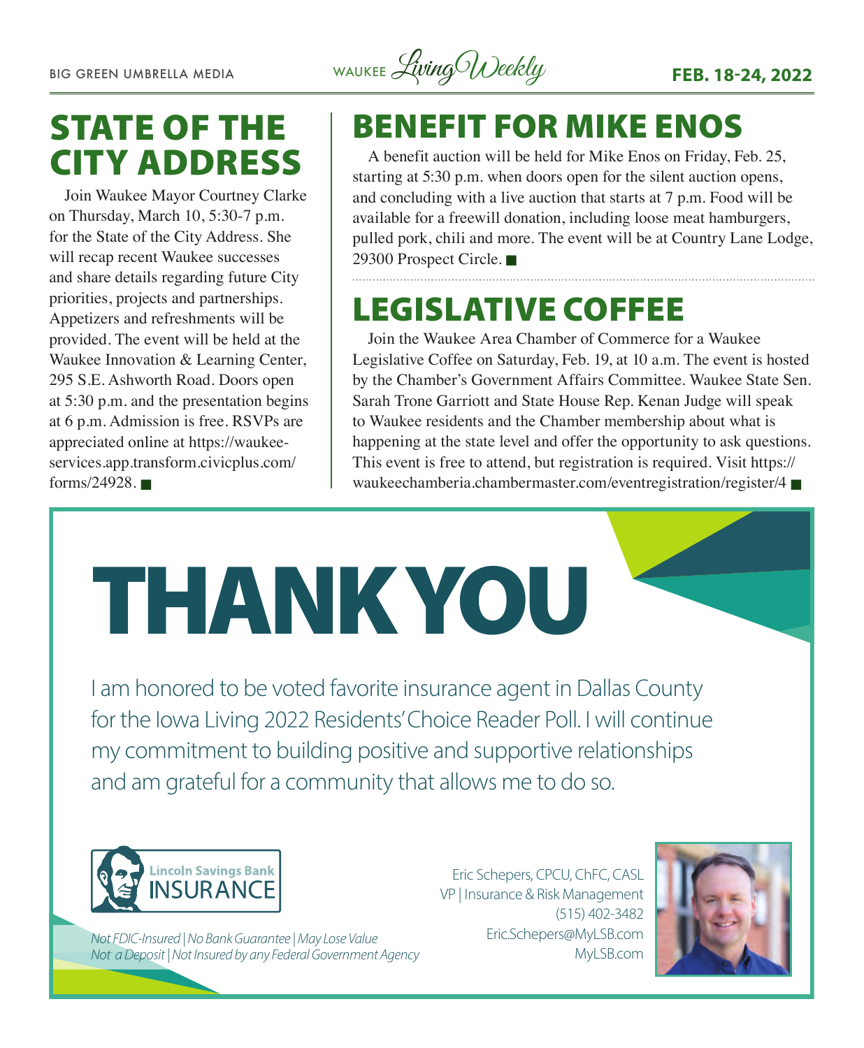BIG GREEN UMBRELLA MEDIA WAUKEE Living Weekly **FEB. 18-24, 2022** 

### STATE OF THE CITY ADDRESS

Join Waukee Mayor Courtney Clarke on Thursday, March 10, 5:30-7 p.m. for the State of the City Address. She will recap recent Waukee successes and share details regarding future City priorities, projects and partnerships. Appetizers and refreshments will be provided. The event will be held at the Waukee Innovation & Learning Center, 295 S.E. Ashworth Road. Doors open at 5:30 p.m. and the presentation begins at 6 p.m. Admission is free. RSVPs are appreciated online at [https://waukee](https://waukee-services.app.transform.civicplus.com/forms/24928)[services.app.transform.civicplus.com/](https://waukee-services.app.transform.civicplus.com/forms/24928) [forms/24928](https://waukee-services.app.transform.civicplus.com/forms/24928).  $\blacksquare$ 

### BENEFIT FOR MIKE ENOS

A benefit auction will be held for Mike Enos on Friday, Feb. 25, starting at 5:30 p.m. when doors open for the silent auction opens, and concluding with a live auction that starts at 7 p.m. Food will be available for a freewill donation, including loose meat hamburgers, pulled pork, chili and more. The event will be at Country Lane Lodge, 29300 Prospect Circle.

### LEGISLATIVE COFFEE

Join the Waukee Area Chamber of Commerce for a Waukee Legislative Coffee on Saturday, Feb. 19, at 10 a.m. The event is hosted by the Chamber's Government Affairs Committee. Waukee State Sen. Sarah Trone Garriott and State House Rep. Kenan Judge will speak to Waukee residents and the Chamber membership about what is happening at the state level and offer the opportunity to ask questions. This event is free to attend, but registration is required. Visit [https://](https://waukeechamberia.chambermaster.com/eventregistration/register/4) [waukeechamberia.chambermaster.com/eventregistration/register/4](https://waukeechamberia.chambermaster.com/eventregistration/register/4)  $\blacksquare$ 

I am honored to be voted favorite insurance agent in Dallas County for the Iowa Living 2022 Residents' Choice Reader Poll. I will continue my commitment to building positive and supportive relationships and am grateful for a community that allows me to do so.

THANK YOU



*Not FDIC-Insured | No Bank Guarantee | May Lose Value Not a Deposit | Not Insured by any Federal Government Agency*

Eric Schepers, CPCU, ChFC, CASL VP | Insurance & Risk Management (515) 402-3482 Eric.Schepers@MyLSB.com MyLSB.com